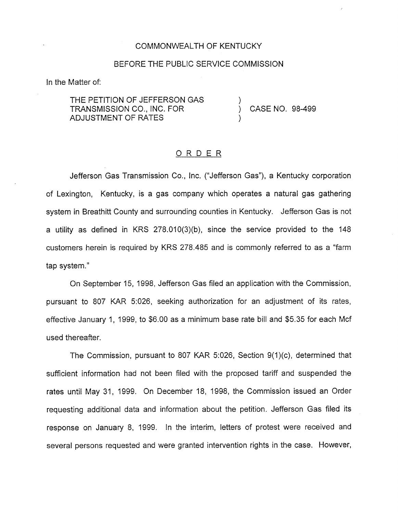### COMMONWEALTH OF KENTUCKY

### BEFORE THE PUBLIC SERVICE COMMISSION

In the Matter of:

THE PETITION OF JEFFERSON GAS TRANSMISSION CO., INC. FOR ADJUSTMENT OF RATES

) CASE NO. 98-499

)

)

### ORDER

Jefferson Gas Transmission Co., Inc. ("Jefferson Gas"), a Kentucky corporation of Lexington, Kentucky, is a gas company which operates a natural gas gathering system in Breathitt County and surrounding counties in Kentucky. Jefferson Gas is not a utility as defined in KRS 278.010(3)(b), since the service provided to the 148 customers herein is required by KRS 278.485 and is commonly referred to as a "farm tap system."

On September 15, 1998, Jefferson Gas filed an application with the Commission, pursuant to 807 KAR 5:026, seeking authorization for an adjustment of its rates, effective January 1, 1999, to \$6.00 as a minimum base rate bill and \$5.35 for each Mcf used thereafter.

The Commission, pursuant to 807 KAR 5:026, Section 9(1)(c), determined that sufficient information had not been filed with the proposed tariff and suspended the rates until May 31, 1999. On December 18, 1998, the Commission issued an Order requesting additional data and information about the petition. Jefferson Gas filed its response on January 8, 1999. In the interim, letters of protest were received and several persons requested and were granted intervention rights in the case. However,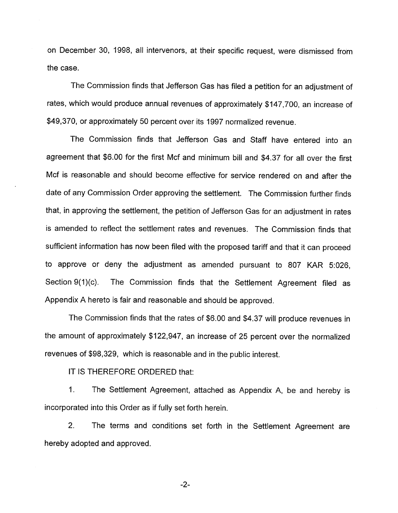on December 30, 1998, all intervenors, at their specific request, were dismissed from the case.

The Commission finds that Jefferson Gas has filed a petition for an adjustment of rates, which would produce annual revenues of approximately \$147,700, an increase of \$49,370, or approximately 50 percent over its 1997 normalized revenue.

The Commission finds that Jefferson Gas and Staff have entered into an agreement that \$6.00 for the first Mcf and minimum bill and \$4.37 for all over the first Mcf is reasonable and should become effective for service rendered on and after the date of any Commission Order approving the settlement. The Commission further finds that, in approving the settlement, the petition of Jefferson Gas for an adjustment in rates is amended to reflect the settlement rates and revenues. The Commission finds that sufficient information has now been filed with the proposed tariff and that it can proceed to approve or deny the adjustment as amended pursuant to 807 KAR 5:026, Section 9(1)(c). The Commission finds that the Settlement Agreement filed as Appendix A hereto is fair and reasonable and should be approved.

The Commission finds that the rates of \$6.00 and \$4.37 will produce revenues in the amount of approximately \$122,947, an increase of 25 percent over the normalized revenues of \$98,329, which is reasonable and in the public interest.

IT IS THEREFORE ORDERED that:

1. The Settlement Agreement, attached as Appendix A, be and hereby is incorporated into this Order as if fully set forth herein.

2. The terms and conditions set forth in the Settlement Agreement are hereby adopted and approved.

 $-2-$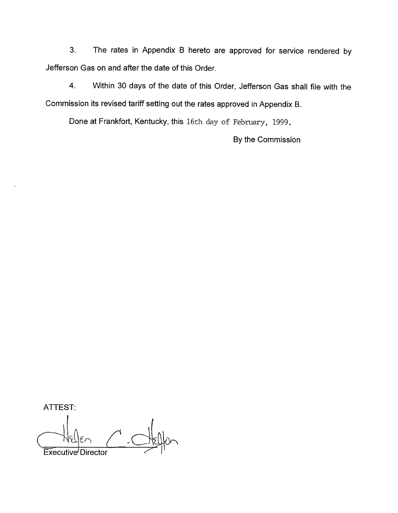3. The rates in Appendix B hereto are approved for service rendered by Jefferson Gas on and after the date of this Order.

4. Within 30 days of the date of this Order, Jefferson Gas shall file with the Commission its revised tariff setting out the rates approved in Appendix B.

Done at Frankfort, Kentucky, this 16th day of February, 1999.

By the Commission

ATTEST:

Executive Director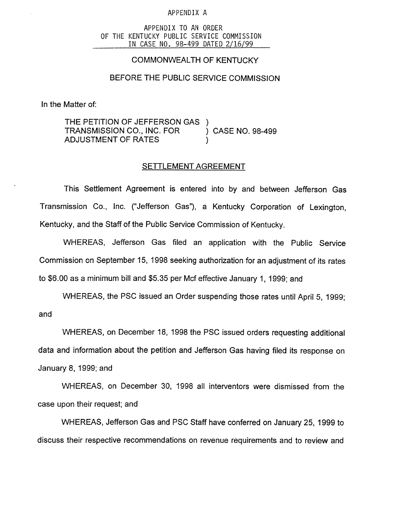#### APPENDIX A

#### APPENDIX TO AN ORDER OF THE KENTUCKY PUBLIC SERVICE COMMISSION IN CASE NO. 98-499 DATED 2/16/99

## COMMONWEALTH OF KENTUCKY

### BEFORE THE PUBLIC SERVICE COMMISSION

In the Matter of:

THE PETITION OF JEFFERSON GAS<br>TRANSMISSION CO., INC. FOR ) CASE NO. 98-499 TRANSMISSION CO., INC. FOR **ADJUSTMENT OF RATES** 

### SETTLEMENT AGREEMENT

This Settlement Agreement is entered into by and between Jefferson Gas Transmission Co., Inc. ("Jefferson Gas"), a Kentucky Corporation of Lexington, Kentucky, and the Staff of the Public Service Commission of Kentucky.

WHEREAS, Jefferson Gas filed an application with the Public Service Commission on September 15, 1998 seeking authorization for an adjustment of its rates to \$6.00 as a minimum bill and \$5.35 per Mcf effective January 1, 1999; and

WHEREAS, the PSC issued an Order suspending those rates until April 5, 1999; and

WHEREAS, on December 18, 1998 the PSC issued orders requesting additional data and information about the petition and Jefferson Gas having filed its response on January 8, 1999; and

WHEREAS, on December 30, 1998 all interventors were dismissed from the case upon their request; and

WHEREAS, Jefferson Gas and PSC Staff have conferred on January 25, 1999 to discuss their respective recommendations on revenue requirements and to review and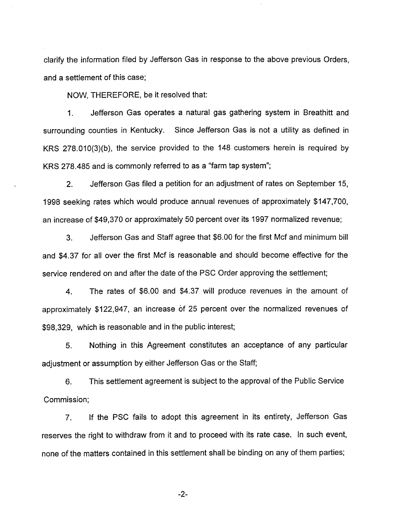clarify the information filed by Jefferson Gas in response to the above previous Orders, and a settlement of this case;

NOW, THEREFORE, be it resolved that:

 $1<sub>1</sub>$ Jefferson Gas operates a natural gas gathering system in Breathitt and surrounding counties in Kentucky. Since Jefferson Gas is not a utility as defined in KRS 278.010(3)(b), the service provided to the 148 customers herein is required by KRS 278.485 and is commonly referred to as a "farm tap system";

2. Jefferson Gas filed a petition for an adjustment of rates on September 15, 1998 seeking rates which would produce annual revenues of approximately \$147,700, an increase of \$49,370 or approximately 50 percent over its 1997 normalized revenue;

3. Jefferson Gas and Staff agree that \$6.00 for the first Mcf and minimum bill and \$4.37 for all over the first Mcf is reasonable and should become effective for the service rendered on and after the date of the PSC Order approving the settlement;

4. The rates of \$6.00 and \$4.37 will produce revenues in the amount of approximately \$122,947, an increase of 25 percent over the normalized revenues of \$98,329, which is reasonable and in the public interest;

5. Nothing in this Agreement constitutes an acceptance of any particular adjustment or assumption by either Jefferson Gas or the Staff;

6. This settlement agreement is subject to the approval of the Public Service Commission;

7. If the PSC fails to adopt this agreement in its entirety, Jefferson Gas reserves the right to withdraw from it and to proceed with its rate case. In such event, none of the matters contained in this settlement shall be binding on any of them parties;

-2-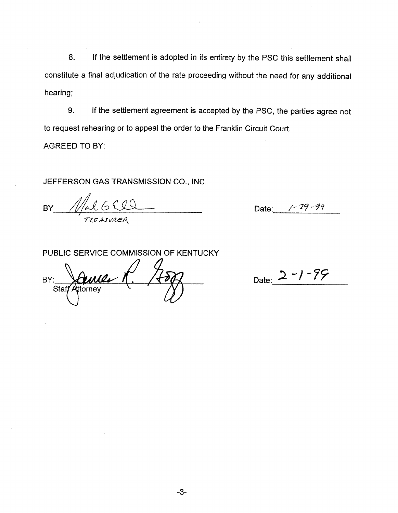8. If the settlement is adopted in its entirety by the PSC this settlement shall constitute a final adjudication of the rate proceeding without the need for any additional hearing;

lf the settlement agreement is accepted by the PSC, the parties agree not 9. to request rehearing or to appeal the order to the Franklin Circuit Court.

AGREED TO BY:

JEFFERSON GAS TRANSMISSION CO., INC.

BY  $M$ al 650

Date: /-29-99

PUBLIC SERVICE COMMISSION OF KENTUCKY

BY: Staff Attorney

Date:  $2 - 1 - 99$